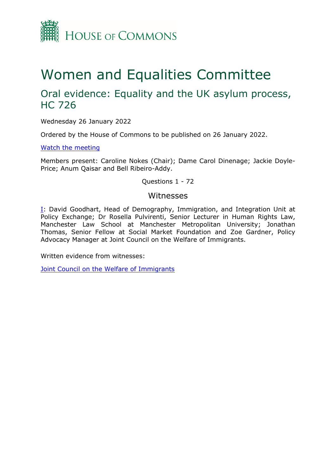

# Women and Equalities Committee

## Oral evidence: Equality and the UK asylum process, HC 726

Wednesday 26 January 2022

Ordered by the House of Commons to be published on 26 January 2022.

[Watch](https://www.parliamentlive.tv/Event/Index/59562b43-823a-4494-8e3f-051b41b67fdb) [the](https://www.parliamentlive.tv/Event/Index/59562b43-823a-4494-8e3f-051b41b67fdb) [meeting](https://www.parliamentlive.tv/Event/Index/59562b43-823a-4494-8e3f-051b41b67fdb)

Members present: Caroline Nokes (Chair); Dame Carol Dinenage; Jackie Doyle-Price; Anum Qaisar and Bell Ribeiro-Addy.

Questions 1 - 72

## Witnesses

[I:](#page-1-0) David Goodhart, Head of Demography, Immigration, and Integration Unit at Policy Exchange; Dr Rosella Pulvirenti, Senior Lecturer in Human Rights Law, Manchester Law School at Manchester Metropolitan University; Jonathan Thomas, Senior Fellow at Social Market Foundation and Zoe Gardner, Policy Advocacy Manager at Joint Council on the Welfare of Immigrants.

Written evidence from witnesses:

[Joint](https://committees.parliament.uk/writtenevidence/40775/pdf/) [Council](https://committees.parliament.uk/writtenevidence/40775/pdf/) [on](https://committees.parliament.uk/writtenevidence/40775/pdf/) [the](https://committees.parliament.uk/writtenevidence/40775/pdf/) [Welfare](https://committees.parliament.uk/writtenevidence/40775/pdf/) [of](https://committees.parliament.uk/writtenevidence/40775/pdf/) [Immigrants](https://committees.parliament.uk/writtenevidence/40775/pdf/)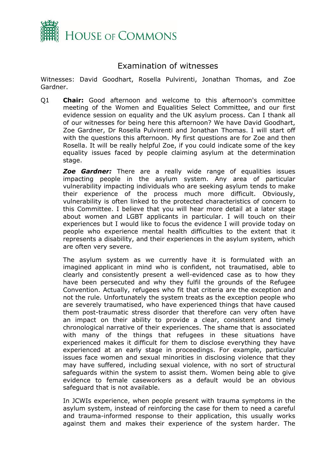

## <span id="page-1-0"></span>Examination of witnesses

Witnesses: David Goodhart, Rosella Pulvirenti, Jonathan Thomas, and Zoe Gardner.

Q1 **Chair:** Good afternoon and welcome to this afternoon's committee meeting of the Women and Equalities Select Committee, and our first evidence session on equality and the UK asylum process. Can I thank all of our witnesses for being here this afternoon? We have David Goodhart, Zoe Gardner, Dr Rosella Pulvirenti and Jonathan Thomas. I will start off with the questions this afternoon. My first questions are for Zoe and then Rosella. It will be really helpful Zoe, if you could indicate some of the key equality issues faced by people claiming asylum at the determination stage.

*Zoe Gardner:* There are a really wide range of equalities issues impacting people in the asylum system. Any area of particular vulnerability impacting individuals who are seeking asylum tends to make their experience of the process much more difficult. Obviously, vulnerability is often linked to the protected characteristics of concern to this Committee. I believe that you will hear more detail at a later stage about women and LGBT applicants in particular. I will touch on their experiences but I would like to focus the evidence I will provide today on people who experience mental health difficulties to the extent that it represents a disability, and their experiences in the asylum system, which are often very severe.

The asylum system as we currently have it is formulated with an imagined applicant in mind who is confident, not traumatised, able to clearly and consistently present a well-evidenced case as to how they have been persecuted and why they fulfil the grounds of the Refugee Convention. Actually, refugees who fit that criteria are the exception and not the rule. Unfortunately the system treats as the exception people who are severely traumatised, who have experienced things that have caused them post-traumatic stress disorder that therefore can very often have an impact on their ability to provide a clear, consistent and timely chronological narrative of their experiences. The shame that is associated with many of the things that refugees in these situations have experienced makes it difficult for them to disclose everything they have experienced at an early stage in proceedings. For example, particular issues face women and sexual minorities in disclosing violence that they may have suffered, including sexual violence, with no sort of structural safeguards within the system to assist them. Women being able to give evidence to female caseworkers as a default would be an obvious safeguard that is not available.

In JCWIs experience, when people present with trauma symptoms in the asylum system, instead of reinforcing the case for them to need a careful and trauma-informed response to their application, this usually works against them and makes their experience of the system harder. The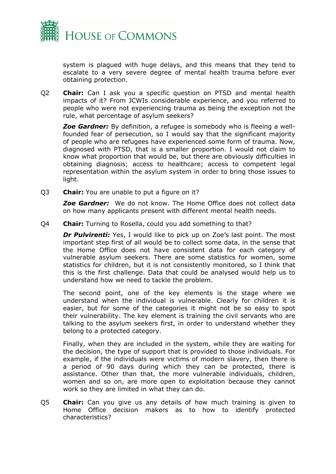

system is plagued with huge delays, and this means that they tend to escalate to a very severe degree of mental health trauma before ever obtaining protection.

Q2 **Chair:** Can I ask you a specific question on PTSD and mental health impacts of it? From JCWIs considerable experience, and you referred to people who were not experiencing trauma as being the exception not the rule, what percentage of asylum seekers?

*Zoe Gardner:* By definition, a refugee is somebody who is fleeing a wellfounded fear of persecution, so I would say that the significant majority of people who are refugees have experienced some form of trauma. Now, diagnosed with PTSD, that is a smaller proportion. I would not claim to know what proportion that would be, but there are obviously difficulties in obtaining diagnosis; access to healthcare; access to competent legal representation within the asylum system in order to bring those issues to light.

Q3 **Chair:** You are unable to put a figure on it?

*Zoe Gardner:* We do not know. The Home Office does not collect data on how many applicants present with different mental health needs.

Q4 **Chair:** Turning to Rosella, could you add something to that?

*Dr Pulvirenti:* Yes, I would like to pick up on Zoe's last point. The most important step first of all would be to collect some data, in the sense that the Home Office does not have consistent data for each category of vulnerable asylum seekers. There are some statistics for women, some statistics for children, but it is not consistently monitored, so I think that this is the first challenge. Data that could be analysed would help us to understand how we need to tackle the problem.

The second point, one of the key elements is the stage where we understand when the individual is vulnerable. Clearly for children it is easier, but for some of the categories it might not be so easy to spot their vulnerability. The key element is training the civil servants who are talking to the asylum seekers first, in order to understand whether they belong to a protected category.

Finally, when they are included in the system, while they are waiting for the decision, the type of support that is provided to those individuals. For example, if the individuals were victims of modern slavery, then there is a period of 90 days during which they can be protected, there is assistance. Other than that, the more vulnerable individuals, children, women and so on, are more open to exploitation because they cannot work so they are limited in what they can do.

Q5 **Chair:** Can you give us any details of how much training is given to Home Office decision makers as to how to identify protected characteristics?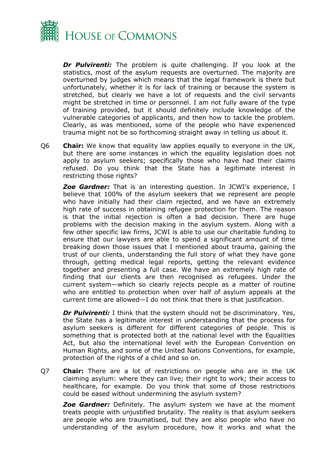

**Dr Pulvirenti:** The problem is quite challenging. If you look at the statistics, most of the asylum requests are overturned. The majority are overturned by judges which means that the legal framework is there but unfortunately, whether it is for lack of training or because the system is stretched, but clearly we have a lot of requests and the civil servants might be stretched in time or personnel. I am not fully aware of the type of training provided, but it should definitely include knowledge of the vulnerable categories of applicants, and then how to tackle the problem. Clearly, as was mentioned, some of the people who have experienced trauma might not be so forthcoming straight away in telling us about it.

Q6 **Chair:** We know that equality law applies equally to everyone in the UK, but there are some instances in which the equality legislation does not apply to asylum seekers; specifically those who have had their claims refused. Do you think that the State has a legitimate interest in restricting those rights?

*Zoe Gardner:* That is an interesting question. In JCWI's experience, I believe that 100% of the asylum seekers that we represent are people who have initially had their claim rejected, and we have an extremely high rate of success in obtaining refugee protection for them. The reason is that the initial rejection is often a bad decision. There are huge problems with the decision making in the asylum system. Along with a few other specific law firms, JCWI is able to use our charitable funding to ensure that our lawyers are able to spend a significant amount of time breaking down those issues that I mentioned about trauma, gaining the trust of our clients, understanding the full story of what they have gone through, getting medical legal reports, getting the relevant evidence together and presenting a full case. We have an extremely high rate of finding that our clients are then recognised as refugees. Under the current system—which so clearly rejects people as a matter of routine who are entitled to protection when over half of asylum appeals at the current time are allowed—I do not think that there is that justification.

*Dr Pulvirenti:* I think that the system should not be discriminatory. Yes, the State has a legitimate interest in understanding that the process for asylum seekers is different for different categories of people. This is something that is protected both at the national level with the Equalities Act, but also the international level with the European Convention on Human Rights, and some of the United Nations Conventions, for example, protection of the rights of a child and so on.

Q7 **Chair:** There are a lot of restrictions on people who are in the UK claiming asylum: where they can live; their right to work; their access to healthcare, for example. Do you think that some of those restrictions could be eased without undermining the asylum system?

*Zoe Gardner:* Definitely. The asylum system we have at the moment treats people with unjustified brutality. The reality is that asylum seekers are people who are traumatised, but they are also people who have no understanding of the asylum procedure, how it works and what the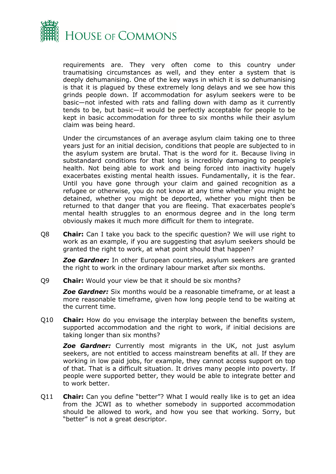

requirements are. They very often come to this country under traumatising circumstances as well, and they enter a system that is deeply dehumanising. One of the key ways in which it is so dehumanising is that it is plagued by these extremely long delays and we see how this grinds people down. If accommodation for asylum seekers were to be basic—not infested with rats and falling down with damp as it currently tends to be, but basic—it would be perfectly acceptable for people to be kept in basic accommodation for three to six months while their asylum claim was being heard.

Under the circumstances of an average asylum claim taking one to three years just for an initial decision, conditions that people are subjected to in the asylum system are brutal. That is the word for it. Because living in substandard conditions for that long is incredibly damaging to people's health. Not being able to work and being forced into inactivity hugely exacerbates existing mental health issues. Fundamentally, it is the fear. Until you have gone through your claim and gained recognition as a refugee or otherwise, you do not know at any time whether you might be detained, whether you might be deported, whether you might then be returned to that danger that you are fleeing. That exacerbates people's mental health struggles to an enormous degree and in the long term obviously makes it much more difficult for them to integrate.

Q8 **Chair:** Can I take you back to the specific question? We will use right to work as an example, if you are suggesting that asylum seekers should be granted the right to work, at what point should that happen?

*Zoe Gardner:* In other European countries, asylum seekers are granted the right to work in the ordinary labour market after six months.

Q9 **Chair:** Would your view be that it should be six months?

*Zoe Gardner:* Six months would be a reasonable timeframe, or at least a more reasonable timeframe, given how long people tend to be waiting at the current time.

Q10 **Chair:** How do you envisage the interplay between the benefits system, supported accommodation and the right to work, if initial decisions are taking longer than six months?

*Zoe Gardner:* Currently most migrants in the UK, not just asylum seekers, are not entitled to access mainstream benefits at all. If they are working in low paid jobs, for example, they cannot access support on top of that. That is a difficult situation. It drives many people into poverty. If people were supported better, they would be able to integrate better and to work better.

Q11 **Chair:** Can you define "better"? What I would really like is to get an idea from the JCWI as to whether somebody in supported accommodation should be allowed to work, and how you see that working. Sorry, but "better" is not a great descriptor.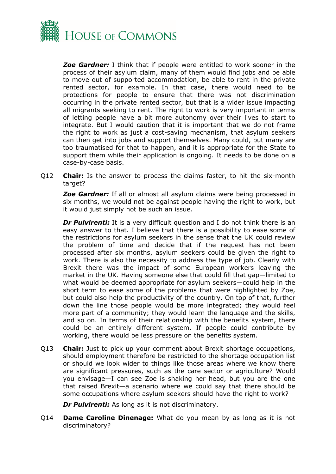

*Zoe Gardner:* I think that if people were entitled to work sooner in the process of their asylum claim, many of them would find jobs and be able to move out of supported accommodation, be able to rent in the private rented sector, for example. In that case, there would need to be protections for people to ensure that there was not discrimination occurring in the private rented sector, but that is a wider issue impacting all migrants seeking to rent. The right to work is very important in terms of letting people have a bit more autonomy over their lives to start to integrate. But I would caution that it is important that we do not frame the right to work as just a cost-saving mechanism, that asylum seekers can then get into jobs and support themselves. Many could, but many are too traumatised for that to happen, and it is appropriate for the State to support them while their application is ongoing. It needs to be done on a case-by-case basis.

Q12 **Chair:** Is the answer to process the claims faster, to hit the six-month target?

*Zoe Gardner:* If all or almost all asylum claims were being processed in six months, we would not be against people having the right to work, but it would just simply not be such an issue.

*Dr Pulvirenti:* It is a very difficult question and I do not think there is an easy answer to that. I believe that there is a possibility to ease some of the restrictions for asylum seekers in the sense that the UK could review the problem of time and decide that if the request has not been processed after six months, asylum seekers could be given the right to work. There is also the necessity to address the type of job. Clearly with Brexit there was the impact of some European workers leaving the market in the UK. Having someone else that could fill that gap—limited to what would be deemed appropriate for asylum seekers—could help in the short term to ease some of the problems that were highlighted by Zoe, but could also help the productivity of the country. On top of that, further down the line those people would be more integrated; they would feel more part of a community; they would learn the language and the skills, and so on. In terms of their relationship with the benefits system, there could be an entirely different system. If people could contribute by working, there would be less pressure on the benefits system.

Q13 **Chair:** Just to pick up your comment about Brexit shortage occupations, should employment therefore be restricted to the shortage occupation list or should we look wider to things like those areas where we know there are significant pressures, such as the care sector or agriculture? Would you envisage—I can see Zoe is shaking her head, but you are the one that raised Brexit—a scenario where we could say that there should be some occupations where asylum seekers should have the right to work?

*Dr Pulvirenti:* As long as it is not discriminatory.

Q14 **Dame Caroline Dinenage:** What do you mean by as long as it is not discriminatory?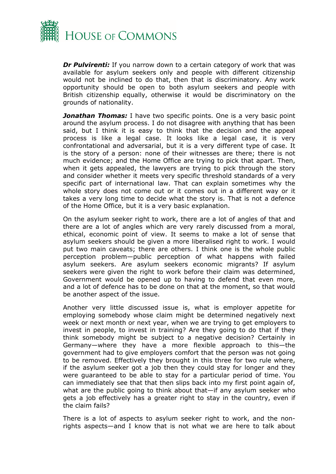

*Dr Pulvirenti:* If you narrow down to a certain category of work that was available for asylum seekers only and people with different citizenship would not be inclined to do that, then that is discriminatory. Any work opportunity should be open to both asylum seekers and people with British citizenship equally, otherwise it would be discriminatory on the grounds of nationality.

**Jonathan Thomas:** I have two specific points. One is a very basic point around the asylum process. I do not disagree with anything that has been said, but I think it is easy to think that the decision and the appeal process is like a legal case. It looks like a legal case, it is very confrontational and adversarial, but it is a very different type of case. It is the story of a person: none of their witnesses are there; there is not much evidence; and the Home Office are trying to pick that apart. Then, when it gets appealed, the lawyers are trying to pick through the story and consider whether it meets very specific threshold standards of a very specific part of international law. That can explain sometimes why the whole story does not come out or it comes out in a different way or it takes a very long time to decide what the story is. That is not a defence of the Home Office, but it is a very basic explanation.

On the asylum seeker right to work, there are a lot of angles of that and there are a lot of angles which are very rarely discussed from a moral, ethical, economic point of view. It seems to make a lot of sense that asylum seekers should be given a more liberalised right to work. I would put two main caveats; there are others. I think one is the whole public perception problem—public perception of what happens with failed asylum seekers. Are asylum seekers economic migrants? If asylum seekers were given the right to work before their claim was determined, Government would be opened up to having to defend that even more, and a lot of defence has to be done on that at the moment, so that would be another aspect of the issue.

Another very little discussed issue is, what is employer appetite for employing somebody whose claim might be determined negatively next week or next month or next year, when we are trying to get employers to invest in people, to invest in training? Are they going to do that if they think somebody might be subject to a negative decision? Certainly in Germany—where they have a more flexible approach to this—the government had to give employers comfort that the person was not going to be removed. Effectively they brought in this three for two rule where, if the asylum seeker got a job then they could stay for longer and they were guaranteed to be able to stay for a particular period of time. You can immediately see that that then slips back into my first point again of, what are the public going to think about that—if any asylum seeker who gets a job effectively has a greater right to stay in the country, even if the claim fails?

There is a lot of aspects to asylum seeker right to work, and the nonrights aspects—and I know that is not what we are here to talk about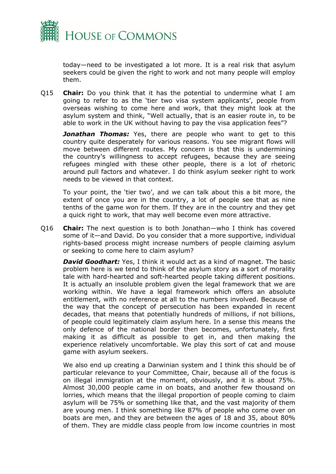

today—need to be investigated a lot more. It is a real risk that asylum seekers could be given the right to work and not many people will employ them.

Q15 **Chair:** Do you think that it has the potential to undermine what I am going to refer to as the 'tier two visa system applicants', people from overseas wishing to come here and work, that they might look at the asylum system and think, "Well actually, that is an easier route in, to be able to work in the UK without having to pay the visa application fees"?

*Jonathan Thomas:* Yes, there are people who want to get to this country quite desperately for various reasons. You see migrant flows will move between different routes. My concern is that this is undermining the country's willingness to accept refugees, because they are seeing refugees mingled with these other people, there is a lot of rhetoric around pull factors and whatever. I do think asylum seeker right to work needs to be viewed in that context.

To your point, the 'tier two', and we can talk about this a bit more, the extent of once you are in the country, a lot of people see that as nine tenths of the game won for them. If they are in the country and they get a quick right to work, that may well become even more attractive.

Q16 **Chair:** The next question is to both Jonathan—who I think has covered some of it—and David. Do you consider that a more supportive, individual rights-based process might increase numbers of people claiming asylum or seeking to come here to claim asylum?

*David Goodhart:* Yes, I think it would act as a kind of magnet. The basic problem here is we tend to think of the asylum story as a sort of morality tale with hard-hearted and soft-hearted people taking different positions. It is actually an insoluble problem given the legal framework that we are working within. We have a legal framework which offers an absolute entitlement, with no reference at all to the numbers involved. Because of the way that the concept of persecution has been expanded in recent decades, that means that potentially hundreds of millions, if not billions, of people could legitimately claim asylum here. In a sense this means the only defence of the national border then becomes, unfortunately, first making it as difficult as possible to get in, and then making the experience relatively uncomfortable. We play this sort of cat and mouse game with asylum seekers.

We also end up creating a Darwinian system and I think this should be of particular relevance to your Committee, Chair, because all of the focus is on illegal immigration at the moment, obviously, and it is about 75%. Almost 30,000 people came in on boats, and another few thousand on lorries, which means that the illegal proportion of people coming to claim asylum will be 75% or something like that, and the vast majority of them are young men. I think something like 87% of people who come over on boats are men, and they are between the ages of 18 and 35, about 80% of them. They are middle class people from low income countries in most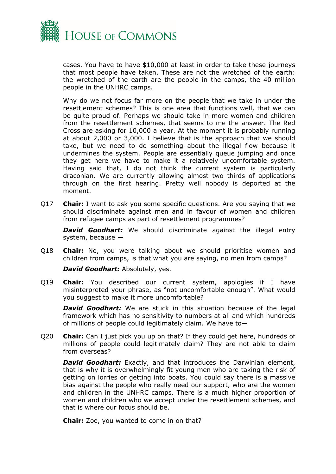

cases. You have to have \$10,000 at least in order to take these journeys that most people have taken. These are not the wretched of the earth: the wretched of the earth are the people in the camps, the 40 million people in the UNHRC camps.

Why do we not focus far more on the people that we take in under the resettlement schemes? This is one area that functions well, that we can be quite proud of. Perhaps we should take in more women and children from the resettlement schemes, that seems to me the answer. The Red Cross are asking for 10,000 a year. At the moment it is probably running at about 2,000 or 3,000. I believe that is the approach that we should take, but we need to do something about the illegal flow because it undermines the system. People are essentially queue jumping and once they get here we have to make it a relatively uncomfortable system. Having said that, I do not think the current system is particularly draconian. We are currently allowing almost two thirds of applications through on the first hearing. Pretty well nobody is deported at the moment.

Q17 **Chair:** I want to ask you some specific questions. Are you saying that we should discriminate against men and in favour of women and children from refugee camps as part of resettlement programmes?

**David Goodhart:** We should discriminate against the illegal entry system, because —

Q18 **Chair:** No, you were talking about we should prioritise women and children from camps, is that what you are saying, no men from camps?

*David Goodhart:* Absolutely, yes.

Q19 **Chair:** You described our current system, apologies if I have misinterpreted your phrase, as "not uncomfortable enough". What would you suggest to make it more uncomfortable?

*David Goodhart:* We are stuck in this situation because of the legal framework which has no sensitivity to numbers at all and which hundreds of millions of people could legitimately claim. We have to—

Q20 **Chair:** Can I just pick you up on that? If they could get here, hundreds of millions of people could legitimately claim? They are not able to claim from overseas?

*David Goodhart:* Exactly, and that introduces the Darwinian element, that is why it is overwhelmingly fit young men who are taking the risk of getting on lorries or getting into boats. You could say there is a massive bias against the people who really need our support, who are the women and children in the UNHRC camps. There is a much higher proportion of women and children who we accept under the resettlement schemes, and that is where our focus should be.

**Chair:** Zoe, you wanted to come in on that?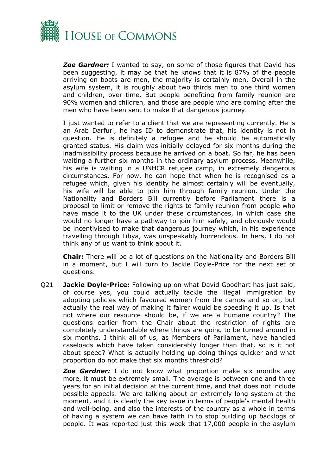

*Zoe Gardner:* I wanted to say, on some of those figures that David has been suggesting, it may be that he knows that it is 87% of the people arriving on boats are men, the majority is certainly men. Overall in the asylum system, it is roughly about two thirds men to one third women and children, over time. But people benefiting from family reunion are 90% women and children, and those are people who are coming after the men who have been sent to make that dangerous journey.

I just wanted to refer to a client that we are representing currently. He is an Arab Darfuri, he has ID to demonstrate that, his identity is not in question. He is definitely a refugee and he should be automatically granted status. His claim was initially delayed for six months during the inadmissibility process because he arrived on a boat. So far, he has been waiting a further six months in the ordinary asylum process. Meanwhile, his wife is waiting in a UNHCR refugee camp, in extremely dangerous circumstances. For now, he can hope that when he is recognised as a refugee which, given his identity he almost certainly will be eventually, his wife will be able to join him through family reunion. Under the Nationality and Borders Bill currently before Parliament there is a proposal to limit or remove the rights to family reunion from people who have made it to the UK under these circumstances, in which case she would no longer have a pathway to join him safely, and obviously would be incentivised to make that dangerous journey which, in his experience travelling through Libya, was unspeakably horrendous. In hers, I do not think any of us want to think about it.

**Chair:** There will be a lot of questions on the Nationality and Borders Bill in a moment, but I will turn to Jackie Doyle-Price for the next set of questions.

Q21 **Jackie Doyle-Price:** Following up on what David Goodhart has just said, of course yes, you could actually tackle the illegal immigration by adopting policies which favoured women from the camps and so on, but actually the real way of making it fairer would be speeding it up. Is that not where our resource should be, if we are a humane country? The questions earlier from the Chair about the restriction of rights are completely understandable where things are going to be turned around in six months. I think all of us, as Members of Parliament, have handled caseloads which have taken considerably longer than that, so is it not about speed? What is actually holding up doing things quicker and what proportion do not make that six months threshold?

*Zoe Gardner:* I do not know what proportion make six months any more, it must be extremely small. The average is between one and three years for an initial decision at the current time, and that does not include possible appeals. We are talking about an extremely long system at the moment, and it is clearly the key issue in terms of people's mental health and well-being, and also the interests of the country as a whole in terms of having a system we can have faith in to stop building up backlogs of people. It was reported just this week that 17,000 people in the asylum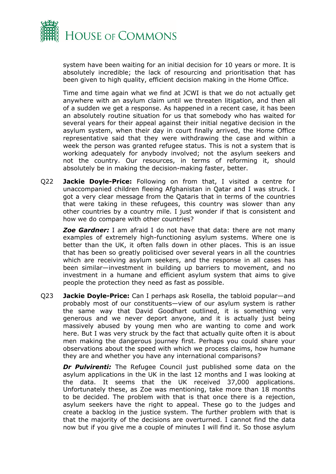

system have been waiting for an initial decision for 10 years or more. It is absolutely incredible; the lack of resourcing and prioritisation that has been given to high quality, efficient decision making in the Home Office.

Time and time again what we find at JCWI is that we do not actually get anywhere with an asylum claim until we threaten litigation, and then all of a sudden we get a response. As happened in a recent case, it has been an absolutely routine situation for us that somebody who has waited for several years for their appeal against their initial negative decision in the asylum system, when their day in court finally arrived, the Home Office representative said that they were withdrawing the case and within a week the person was granted refugee status. This is not a system that is working adequately for anybody involved; not the asylum seekers and not the country. Our resources, in terms of reforming it, should absolutely be in making the decision-making faster, better.

Q22 **Jackie Doyle-Price:** Following on from that, I visited a centre for unaccompanied children fleeing Afghanistan in Qatar and I was struck. I got a very clear message from the Qataris that in terms of the countries that were taking in these refugees, this country was slower than any other countries by a country mile. I just wonder if that is consistent and how we do compare with other countries?

*Zoe Gardner:* I am afraid I do not have that data: there are not many examples of extremely high-functioning asylum systems. Where one is better than the UK, it often falls down in other places. This is an issue that has been so greatly politicised over several years in all the countries which are receiving asylum seekers, and the response in all cases has been similar—investment in building up barriers to movement, and no investment in a humane and efficient asylum system that aims to give people the protection they need as fast as possible.

Q23 **Jackie Doyle-Price:** Can I perhaps ask Rosella, the tabloid popular—and probably most of our constituents—view of our asylum system is rather the same way that David Goodhart outlined, it is something very generous and we never deport anyone, and it is actually just being massively abused by young men who are wanting to come and work here. But I was very struck by the fact that actually quite often it is about men making the dangerous journey first. Perhaps you could share your observations about the speed with which we process claims, how humane they are and whether you have any international comparisons?

**Dr Pulvirenti:** The Refugee Council just published some data on the asylum applications in the UK in the last 12 months and I was looking at the data. It seems that the UK received 37,000 applications. Unfortunately these, as Zoe was mentioning, take more than 18 months to be decided. The problem with that is that once there is a rejection, asylum seekers have the right to appeal. These go to the judges and create a backlog in the justice system. The further problem with that is that the majority of the decisions are overturned. I cannot find the data now but if you give me a couple of minutes I will find it. So those asylum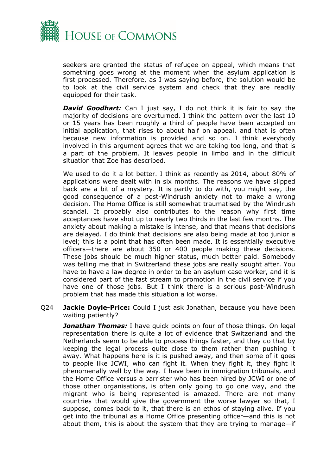

seekers are granted the status of refugee on appeal, which means that something goes wrong at the moment when the asylum application is first processed. Therefore, as I was saying before, the solution would be to look at the civil service system and check that they are readily equipped for their task.

**David Goodhart:** Can I just say, I do not think it is fair to say the majority of decisions are overturned. I think the pattern over the last 10 or 15 years has been roughly a third of people have been accepted on initial application, that rises to about half on appeal, and that is often because new information is provided and so on. I think everybody involved in this argument agrees that we are taking too long, and that is a part of the problem. It leaves people in limbo and in the difficult situation that Zoe has described.

We used to do it a lot better. I think as recently as 2014, about 80% of applications were dealt with in six months. The reasons we have slipped back are a bit of a mystery. It is partly to do with, you might say, the good consequence of a post-Windrush anxiety not to make a wrong decision. The Home Office is still somewhat traumatised by the Windrush scandal. It probably also contributes to the reason why first time acceptances have shot up to nearly two thirds in the last few months. The anxiety about making a mistake is intense, and that means that decisions are delayed. I do think that decisions are also being made at too junior a level; this is a point that has often been made. It is essentially executive officers—there are about 350 or 400 people making these decisions. These jobs should be much higher status, much better paid. Somebody was telling me that in Switzerland these jobs are really sought after. You have to have a law degree in order to be an asylum case worker, and it is considered part of the fast stream to promotion in the civil service if you have one of those jobs. But I think there is a serious post-Windrush problem that has made this situation a lot worse.

Q24 **Jackie Doyle-Price:** Could I just ask Jonathan, because you have been waiting patiently?

**Jonathan Thomas:** I have quick points on four of those things. On legal representation there is quite a lot of evidence that Switzerland and the Netherlands seem to be able to process things faster, and they do that by keeping the legal process quite close to them rather than pushing it away. What happens here is it is pushed away, and then some of it goes to people like JCWI, who can fight it. When they fight it, they fight it phenomenally well by the way. I have been in immigration tribunals, and the Home Office versus a barrister who has been hired by JCWI or one of those other organisations, is often only going to go one way, and the migrant who is being represented is amazed. There are not many countries that would give the government the worse lawyer so that, I suppose, comes back to it, that there is an ethos of staying alive. If you get into the tribunal as a Home Office presenting officer—and this is not about them, this is about the system that they are trying to manage—if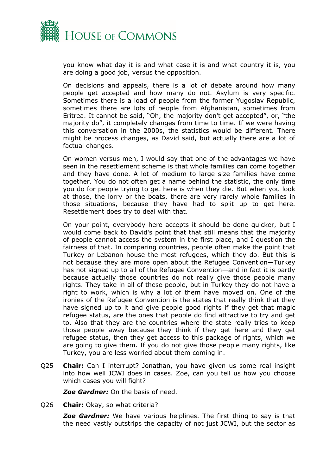

you know what day it is and what case it is and what country it is, you are doing a good job, versus the opposition.

On decisions and appeals, there is a lot of debate around how many people get accepted and how many do not. Asylum is very specific. Sometimes there is a load of people from the former Yugoslav Republic, sometimes there are lots of people from Afghanistan, sometimes from Eritrea. It cannot be said, "Oh, the majority don't get accepted", or, "the majority do", it completely changes from time to time. If we were having this conversation in the 2000s, the statistics would be different. There might be process changes, as David said, but actually there are a lot of factual changes.

On women versus men, I would say that one of the advantages we have seen in the resettlement scheme is that whole families can come together and they have done. A lot of medium to large size families have come together. You do not often get a name behind the statistic, the only time you do for people trying to get here is when they die. But when you look at those, the lorry or the boats, there are very rarely whole families in those situations, because they have had to split up to get here. Resettlement does try to deal with that.

On your point, everybody here accepts it should be done quicker, but I would come back to David's point that that still means that the majority of people cannot access the system in the first place, and I question the fairness of that. In comparing countries, people often make the point that Turkey or Lebanon house the most refugees, which they do. But this is not because they are more open about the Refugee Convention—Turkey has not signed up to all of the Refugee Convention—and in fact it is partly because actually those countries do not really give those people many rights. They take in all of these people, but in Turkey they do not have a right to work, which is why a lot of them have moved on. One of the ironies of the Refugee Convention is the states that really think that they have signed up to it and give people good rights if they get that magic refugee status, are the ones that people do find attractive to try and get to. Also that they are the countries where the state really tries to keep those people away because they think if they get here and they get refugee status, then they get access to this package of rights, which we are going to give them. If you do not give those people many rights, like Turkey, you are less worried about them coming in.

Q25 **Chair:** Can I interrupt? Jonathan, you have given us some real insight into how well JCWI does in cases. Zoe, can you tell us how you choose which cases you will fight?

*Zoe Gardner:* On the basis of need.

Q26 **Chair:** Okay, so what criteria?

**Zoe Gardner:** We have various helplines. The first thing to say is that the need vastly outstrips the capacity of not just JCWI, but the sector as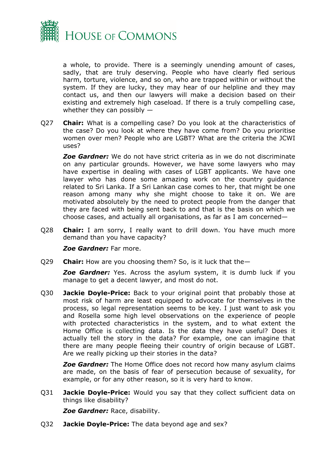

a whole, to provide. There is a seemingly unending amount of cases, sadly, that are truly deserving. People who have clearly fled serious harm, torture, violence, and so on, who are trapped within or without the system. If they are lucky, they may hear of our helpline and they may contact us, and then our lawyers will make a decision based on their existing and extremely high caseload. If there is a truly compelling case, whether they can possibly —

Q27 **Chair:** What is a compelling case? Do you look at the characteristics of the case? Do you look at where they have come from? Do you prioritise women over men? People who are LGBT? What are the criteria the JCWI uses?

*Zoe Gardner:* We do not have strict criteria as in we do not discriminate on any particular grounds. However, we have some lawyers who may have expertise in dealing with cases of LGBT applicants. We have one lawyer who has done some amazing work on the country guidance related to Sri Lanka. If a Sri Lankan case comes to her, that might be one reason among many why she might choose to take it on. We are motivated absolutely by the need to protect people from the danger that they are faced with being sent back to and that is the basis on which we choose cases, and actually all organisations, as far as I am concerned—

Q28 **Chair:** I am sorry, I really want to drill down. You have much more demand than you have capacity?

*Zoe Gardner:* Far more.

Q29 **Chair:** How are you choosing them? So, is it luck that the—

**Zoe Gardner:** Yes. Across the asylum system, it is dumb luck if you manage to get a decent lawyer, and most do not.

Q30 **Jackie Doyle-Price:** Back to your original point that probably those at most risk of harm are least equipped to advocate for themselves in the process, so legal representation seems to be key. I just want to ask you and Rosella some high level observations on the experience of people with protected characteristics in the system, and to what extent the Home Office is collecting data. Is the data they have useful? Does it actually tell the story in the data? For example, one can imagine that there are many people fleeing their country of origin because of LGBT. Are we really picking up their stories in the data?

*Zoe Gardner:* The Home Office does not record how many asylum claims are made, on the basis of fear of persecution because of sexuality, for example, or for any other reason, so it is very hard to know.

Q31 **Jackie Doyle-Price:** Would you say that they collect sufficient data on things like disability?

*Zoe Gardner:* Race, disability.

Q32 **Jackie Doyle-Price:** The data beyond age and sex?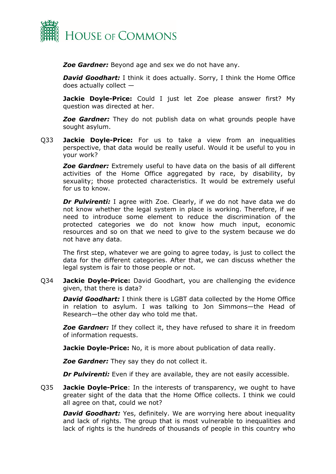

*Zoe Gardner:* Beyond age and sex we do not have any.

*David Goodhart:* I think it does actually. Sorry, I think the Home Office does actually collect —

**Jackie Doyle-Price:** Could I just let Zoe please answer first? My question was directed at her.

**Zoe Gardner:** They do not publish data on what grounds people have sought asylum.

Q33 **Jackie Doyle-Price:** For us to take a view from an inequalities perspective, that data would be really useful. Would it be useful to you in your work?

*Zoe Gardner:* Extremely useful to have data on the basis of all different activities of the Home Office aggregated by race, by disability, by sexuality; those protected characteristics. It would be extremely useful for us to know.

*Dr Pulvirenti:* I agree with Zoe. Clearly, if we do not have data we do not know whether the legal system in place is working. Therefore, if we need to introduce some element to reduce the discrimination of the protected categories we do not know how much input, economic resources and so on that we need to give to the system because we do not have any data.

The first step, whatever we are going to agree today, is just to collect the data for the different categories. After that, we can discuss whether the legal system is fair to those people or not.

Q34 **Jackie Doyle-Price:** David Goodhart, you are challenging the evidence given, that there is data?

*David Goodhart:* I think there is LGBT data collected by the Home Office in relation to asylum. I was talking to Jon Simmons—the Head of Research—the other day who told me that.

*Zoe Gardner:* If they collect it, they have refused to share it in freedom of information requests.

**Jackie Doyle-Price:** No, it is more about publication of data really.

*Zoe Gardner:* They say they do not collect it.

*Dr Pulvirenti:* Even if they are available, they are not easily accessible.

Q35 **Jackie Doyle-Price**: In the interests of transparency, we ought to have greater sight of the data that the Home Office collects. I think we could all agree on that, could we not?

*David Goodhart:* Yes, definitely. We are worrying here about inequality and lack of rights. The group that is most vulnerable to inequalities and lack of rights is the hundreds of thousands of people in this country who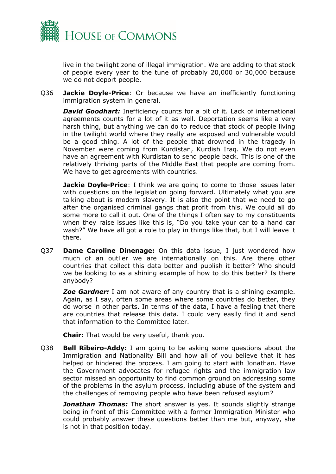

live in the twilight zone of illegal immigration. We are adding to that stock of people every year to the tune of probably 20,000 or 30,000 because we do not deport people.

Q36 **Jackie Doyle-Price**: Or because we have an inefficiently functioning immigration system in general.

*David Goodhart:* Inefficiency counts for a bit of it. Lack of international agreements counts for a lot of it as well. Deportation seems like a very harsh thing, but anything we can do to reduce that stock of people living in the twilight world where they really are exposed and vulnerable would be a good thing. A lot of the people that drowned in the tragedy in November were coming from Kurdistan, Kurdish Iraq. We do not even have an agreement with Kurdistan to send people back. This is one of the relatively thriving parts of the Middle East that people are coming from. We have to get agreements with countries.

**Jackie Doyle-Price**: I think we are going to come to those issues later with questions on the legislation going forward. Ultimately what you are talking about is modern slavery. It is also the point that we need to go after the organised criminal gangs that profit from this. We could all do some more to call it out. One of the things I often say to my constituents when they raise issues like this is, "Do you take your car to a hand car wash?" We have all got a role to play in things like that, but I will leave it there.

Q37 **Dame Caroline Dinenage:** On this data issue, I just wondered how much of an outlier we are internationally on this. Are there other countries that collect this data better and publish it better? Who should we be looking to as a shining example of how to do this better? Is there anybody?

*Zoe Gardner:* I am not aware of any country that is a shining example. Again, as I say, often some areas where some countries do better, they do worse in other parts. In terms of the data, I have a feeling that there are countries that release this data. I could very easily find it and send that information to the Committee later.

**Chair:** That would be very useful, thank you.

Q38 **Bell Ribeiro-Addy:** I am going to be asking some questions about the Immigration and Nationality Bill and how all of you believe that it has helped or hindered the process. I am going to start with Jonathan. Have the Government advocates for refugee rights and the immigration law sector missed an opportunity to find common ground on addressing some of the problems in the asylum process, including abuse of the system and the challenges of removing people who have been refused asylum?

*Jonathan Thomas:* The short answer is yes. It sounds slightly strange being in front of this Committee with a former Immigration Minister who could probably answer these questions better than me but, anyway, she is not in that position today.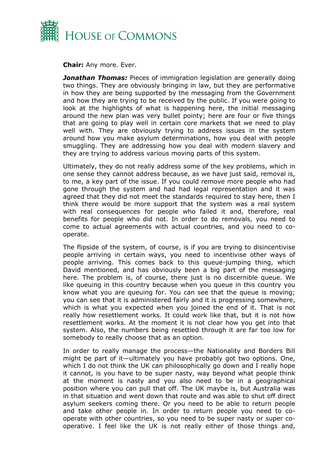

**Chair:** Any more. Ever.

*Jonathan Thomas:* Pieces of immigration legislation are generally doing two things. They are obviously bringing in law, but they are performative in how they are being supported by the messaging from the Government and how they are trying to be received by the public. If you were going to look at the highlights of what is happening here, the initial messaging around the new plan was very bullet pointy; here are four or five things that are going to play well in certain core markets that we need to play well with. They are obviously trying to address issues in the system around how you make asylum determinations, how you deal with people smuggling. They are addressing how you deal with modern slavery and they are trying to address various moving parts of this system.

Ultimately, they do not really address some of the key problems, which in one sense they cannot address because, as we have just said, removal is, to me, a key part of the issue. If you could remove more people who had gone through the system and had had legal representation and it was agreed that they did not meet the standards required to stay here, then I think there would be more support that the system was a real system with real consequences for people who failed it and, therefore, real benefits for people who did not. In order to do removals, you need to come to actual agreements with actual countries, and you need to cooperate.

The flipside of the system, of course, is if you are trying to disincentivise people arriving in certain ways, you need to incentivise other ways of people arriving. This comes back to this queue-jumping thing, which David mentioned, and has obviously been a big part of the messaging here. The problem is, of course, there just is no discernible queue. We like queuing in this country because when you queue in this country you know what you are queuing for. You can see that the queue is moving; you can see that it is administered fairly and it is progressing somewhere, which is what you expected when you joined the end of it. That is not really how resettlement works. It could work like that, but it is not how resettlement works. At the moment it is not clear how you get into that system. Also, the numbers being resettled through it are far too low for somebody to really choose that as an option.

In order to really manage the process—the Nationality and Borders Bill might be part of it—ultimately you have probably got two options. One, which I do not think the UK can philosophically go down and I really hope it cannot, is you have to be super nasty, way beyond what people think at the moment is nasty and you also need to be in a geographical position where you can pull that off. The UK maybe is, but Australia was in that situation and went down that route and was able to shut off direct asylum seekers coming there. Or you need to be able to return people and take other people in. In order to return people you need to cooperate with other countries, so you need to be super nasty or super cooperative. I feel like the UK is not really either of those things and,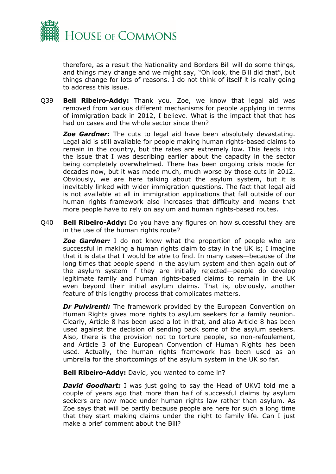

therefore, as a result the Nationality and Borders Bill will do some things, and things may change and we might say, "Oh look, the Bill did that", but things change for lots of reasons. I do not think of itself it is really going to address this issue.

Q39 **Bell Ribeiro-Addy:** Thank you. Zoe, we know that legal aid was removed from various different mechanisms for people applying in terms of immigration back in 2012, I believe. What is the impact that that has had on cases and the whole sector since then?

*Zoe Gardner:* The cuts to legal aid have been absolutely devastating. Legal aid is still available for people making human rights-based claims to remain in the country, but the rates are extremely low. This feeds into the issue that I was describing earlier about the capacity in the sector being completely overwhelmed. There has been ongoing crisis mode for decades now, but it was made much, much worse by those cuts in 2012. Obviously, we are here talking about the asylum system, but it is inevitably linked with wider immigration questions. The fact that legal aid is not available at all in immigration applications that fall outside of our human rights framework also increases that difficulty and means that more people have to rely on asylum and human rights-based routes.

Q40 **Bell Ribeiro-Addy:** Do you have any figures on how successful they are in the use of the human rights route?

**Zoe Gardner:** I do not know what the proportion of people who are successful in making a human rights claim to stay in the UK is; I imagine that it is data that I would be able to find. In many cases—because of the long times that people spend in the asylum system and then again out of the asylum system if they are initially rejected—people do develop legitimate family and human rights-based claims to remain in the UK even beyond their initial asylum claims. That is, obviously, another feature of this lengthy process that complicates matters.

*Dr Pulvirenti:* The framework provided by the European Convention on Human Rights gives more rights to asylum seekers for a family reunion. Clearly, Article 8 has been used a lot in that, and also Article 8 has been used against the decision of sending back some of the asylum seekers. Also, there is the provision not to torture people, so non-refoulement, and Article 3 of the European Convention of Human Rights has been used. Actually, the human rights framework has been used as an umbrella for the shortcomings of the asylum system in the UK so far.

**Bell Ribeiro-Addy:** David, you wanted to come in?

**David Goodhart:** I was just going to say the Head of UKVI told me a couple of years ago that more than half of successful claims by asylum seekers are now made under human rights law rather than asylum. As Zoe says that will be partly because people are here for such a long time that they start making claims under the right to family life. Can I just make a brief comment about the Bill?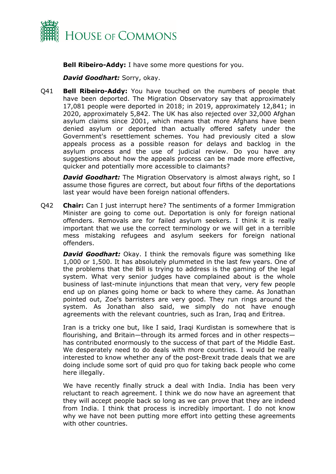

**Bell Ribeiro-Addy:** I have some more questions for you.

*David Goodhart:* Sorry, okay.

Q41 **Bell Ribeiro-Addy:** You have touched on the numbers of people that have been deported. The Migration Observatory say that approximately 17,081 people were deported in 2018; in 2019, approximately 12,841; in 2020, approximately 5,842. The UK has also rejected over 32,000 Afghan asylum claims since 2001, which means that more Afghans have been denied asylum or deported than actually offered safety under the Government's resettlement schemes. You had previously cited a slow appeals process as a possible reason for delays and backlog in the asylum process and the use of judicial review. Do you have any suggestions about how the appeals process can be made more effective, quicker and potentially more accessible to claimants?

*David Goodhart:* The Migration Observatory is almost always right, so I assume those figures are correct, but about four fifths of the deportations last year would have been foreign national offenders.

Q42 **Chair:** Can I just interrupt here? The sentiments of a former Immigration Minister are going to come out. Deportation is only for foreign national offenders. Removals are for failed asylum seekers. I think it is really important that we use the correct terminology or we will get in a terrible mess mistaking refugees and asylum seekers for foreign national offenders.

*David Goodhart:* Okay. I think the removals figure was something like 1,000 or 1,500. It has absolutely plummeted in the last few years. One of the problems that the Bill is trying to address is the gaming of the legal system. What very senior judges have complained about is the whole business of last-minute injunctions that mean that very, very few people end up on planes going home or back to where they came. As Jonathan pointed out, Zoe's barristers are very good. They run rings around the system. As Jonathan also said, we simply do not have enough agreements with the relevant countries, such as Iran, Iraq and Eritrea.

Iran is a tricky one but, like I said, Iraqi Kurdistan is somewhere that is flourishing, and Britain—through its armed forces and in other respects has contributed enormously to the success of that part of the Middle East. We desperately need to do deals with more countries. I would be really interested to know whether any of the post-Brexit trade deals that we are doing include some sort of quid pro quo for taking back people who come here illegally.

We have recently finally struck a deal with India. India has been very reluctant to reach agreement. I think we do now have an agreement that they will accept people back so long as we can prove that they are indeed from India. I think that process is incredibly important. I do not know why we have not been putting more effort into getting these agreements with other countries.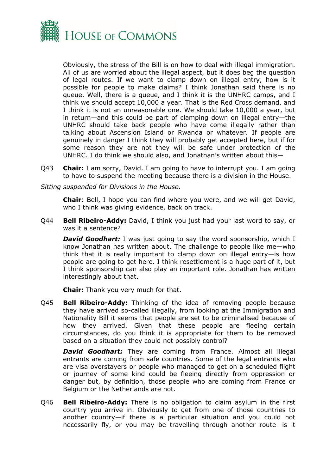

Obviously, the stress of the Bill is on how to deal with illegal immigration. All of us are worried about the illegal aspect, but it does beg the question of legal routes. If we want to clamp down on illegal entry, how is it possible for people to make claims? I think Jonathan said there is no queue. Well, there is a queue, and I think it is the UNHRC camps, and I think we should accept 10,000 a year. That is the Red Cross demand, and I think it is not an unreasonable one. We should take 10,000 a year, but in return—and this could be part of clamping down on illegal entry—the UNHRC should take back people who have come illegally rather than talking about Ascension Island or Rwanda or whatever. If people are genuinely in danger I think they will probably get accepted here, but if for some reason they are not they will be safe under protection of the UNHRC. I do think we should also, and Jonathan's written about this—

- Q43 **Chair:** I am sorry, David. I am going to have to interrupt you. I am going to have to suspend the meeting because there is a division in the House.
- *Sitting suspended for Divisions in the House.*

**Chair**: Bell, I hope you can find where you were, and we will get David, who I think was giving evidence, back on track.

Q44 **Bell Ribeiro-Addy:** David, I think you just had your last word to say, or was it a sentence?

*David Goodhart:* I was just going to say the word sponsorship, which I know Jonathan has written about. The challenge to people like me—who think that it is really important to clamp down on illegal entry—is how people are going to get here. I think resettlement is a huge part of it, but I think sponsorship can also play an important role. Jonathan has written interestingly about that.

**Chair:** Thank you very much for that.

Q45 **Bell Ribeiro-Addy:** Thinking of the idea of removing people because they have arrived so-called illegally, from looking at the Immigration and Nationality Bill it seems that people are set to be criminalised because of how they arrived. Given that these people are fleeing certain circumstances, do you think it is appropriate for them to be removed based on a situation they could not possibly control?

*David Goodhart:* They are coming from France. Almost all illegal entrants are coming from safe countries. Some of the legal entrants who are visa overstayers or people who managed to get on a scheduled flight or journey of some kind could be fleeing directly from oppression or danger but, by definition, those people who are coming from France or Belgium or the Netherlands are not.

Q46 **Bell Ribeiro-Addy:** There is no obligation to claim asylum in the first country you arrive in. Obviously to get from one of those countries to another country—if there is a particular situation and you could not necessarily fly, or you may be travelling through another route—is it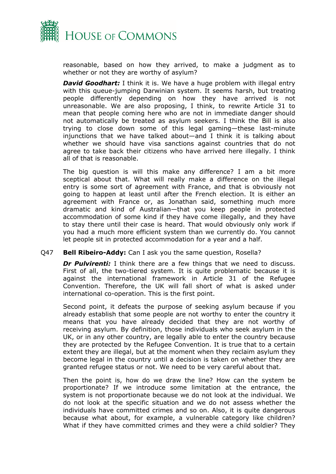

reasonable, based on how they arrived, to make a judgment as to whether or not they are worthy of asylum?

*David Goodhart:* I think it is. We have a huge problem with illegal entry with this queue-jumping Darwinian system. It seems harsh, but treating people differently depending on how they have arrived is not unreasonable. We are also proposing, I think, to rewrite Article 31 to mean that people coming here who are not in immediate danger should not automatically be treated as asylum seekers. I think the Bill is also trying to close down some of this legal gaming—these last-minute injunctions that we have talked about—and I think it is talking about whether we should have visa sanctions against countries that do not agree to take back their citizens who have arrived here illegally. I think all of that is reasonable.

The big question is will this make any difference? I am a bit more sceptical about that. What will really make a difference on the illegal entry is some sort of agreement with France, and that is obviously not going to happen at least until after the French election. It is either an agreement with France or, as Jonathan said, something much more dramatic and kind of Australian—that you keep people in protected accommodation of some kind if they have come illegally, and they have to stay there until their case is heard. That would obviously only work if you had a much more efficient system than we currently do. You cannot let people sit in protected accommodation for a year and a half.

### Q47 **Bell Ribeiro-Addy:** Can I ask you the same question, Rosella?

*Dr Pulvirenti:* I think there are a few things that we need to discuss. First of all, the two-tiered system. It is quite problematic because it is against the international framework in Article 31 of the Refugee Convention. Therefore, the UK will fall short of what is asked under international co-operation. This is the first point.

Second point, it defeats the purpose of seeking asylum because if you already establish that some people are not worthy to enter the country it means that you have already decided that they are not worthy of receiving asylum. By definition, those individuals who seek asylum in the UK, or in any other country, are legally able to enter the country because they are protected by the Refugee Convention. It is true that to a certain extent they are illegal, but at the moment when they reclaim asylum they become legal in the country until a decision is taken on whether they are granted refugee status or not. We need to be very careful about that.

Then the point is, how do we draw the line? How can the system be proportionate? If we introduce some limitation at the entrance, the system is not proportionate because we do not look at the individual. We do not look at the specific situation and we do not assess whether the individuals have committed crimes and so on. Also, it is quite dangerous because what about, for example, a vulnerable category like children? What if they have committed crimes and they were a child soldier? They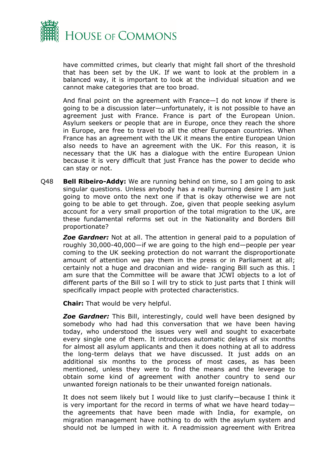

have committed crimes, but clearly that might fall short of the threshold that has been set by the UK. If we want to look at the problem in a balanced way, it is important to look at the individual situation and we cannot make categories that are too broad.

And final point on the agreement with France—I do not know if there is going to be a discussion later—unfortunately, it is not possible to have an agreement just with France. France is part of the European Union. Asylum seekers or people that are in Europe, once they reach the shore in Europe, are free to travel to all the other European countries. When France has an agreement with the UK it means the entire European Union also needs to have an agreement with the UK. For this reason, it is necessary that the UK has a dialogue with the entire European Union because it is very difficult that just France has the power to decide who can stay or not.

Q48 **Bell Ribeiro-Addy:** We are running behind on time, so I am going to ask singular questions. Unless anybody has a really burning desire I am just going to move onto the next one if that is okay otherwise we are not going to be able to get through. Zoe, given that people seeking asylum account for a very small proportion of the total migration to the UK, are these fundamental reforms set out in the Nationality and Borders Bill proportionate?

*Zoe Gardner:* Not at all. The attention in general paid to a population of roughly 30,000-40,000—if we are going to the high end—people per year coming to the UK seeking protection do not warrant the disproportionate amount of attention we pay them in the press or in Parliament at all; certainly not a huge and draconian and wide- ranging Bill such as this. I am sure that the Committee will be aware that JCWI objects to a lot of different parts of the Bill so I will try to stick to just parts that I think will specifically impact people with protected characteristics.

**Chair:** That would be very helpful.

**Zoe Gardner:** This Bill, interestingly, could well have been designed by somebody who had had this conversation that we have been having today, who understood the issues very well and sought to exacerbate every single one of them. It introduces automatic delays of six months for almost all asylum applicants and then it does nothing at all to address the long-term delays that we have discussed. It just adds on an additional six months to the process of most cases, as has been mentioned, unless they were to find the means and the leverage to obtain some kind of agreement with another country to send our unwanted foreign nationals to be their unwanted foreign nationals.

It does not seem likely but I would like to just clarify—because I think it is very important for the record in terms of what we have heard today the agreements that have been made with India, for example, on migration management have nothing to do with the asylum system and should not be lumped in with it. A readmission agreement with Eritrea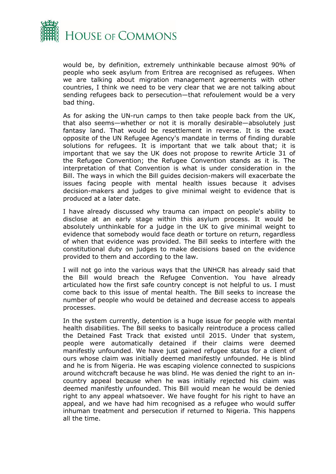

would be, by definition, extremely unthinkable because almost 90% of people who seek asylum from Eritrea are recognised as refugees. When we are talking about migration management agreements with other countries, I think we need to be very clear that we are not talking about sending refugees back to persecution—that refoulement would be a very bad thing.

As for asking the UN-run camps to then take people back from the UK, that also seems—whether or not it is morally desirable—absolutely just fantasy land. That would be resettlement in reverse. It is the exact opposite of the UN Refugee Agency's mandate in terms of finding durable solutions for refugees. It is important that we talk about that; it is important that we say the UK does not propose to rewrite Article 31 of the Refugee Convention; the Refugee Convention stands as it is. The interpretation of that Convention is what is under consideration in the Bill. The ways in which the Bill guides decision-makers will exacerbate the issues facing people with mental health issues because it advises decision-makers and judges to give minimal weight to evidence that is produced at a later date.

I have already discussed why trauma can impact on people's ability to disclose at an early stage within this asylum process. It would be absolutely unthinkable for a judge in the UK to give minimal weight to evidence that somebody would face death or torture on return, regardless of when that evidence was provided. The Bill seeks to interfere with the constitutional duty on judges to make decisions based on the evidence provided to them and according to the law.

I will not go into the various ways that the UNHCR has already said that the Bill would breach the Refugee Convention. You have already articulated how the first safe country concept is not helpful to us. I must come back to this issue of mental health. The Bill seeks to increase the number of people who would be detained and decrease access to appeals processes.

In the system currently, detention is a huge issue for people with mental health disabilities. The Bill seeks to basically reintroduce a process called the Detained Fast Track that existed until 2015. Under that system, people were automatically detained if their claims were deemed manifestly unfounded. We have just gained refugee status for a client of ours whose claim was initially deemed manifestly unfounded. He is blind and he is from Nigeria. He was escaping violence connected to suspicions around witchcraft because he was blind. He was denied the right to an incountry appeal because when he was initially rejected his claim was deemed manifestly unfounded. This Bill would mean he would be denied right to any appeal whatsoever. We have fought for his right to have an appeal, and we have had him recognised as a refugee who would suffer inhuman treatment and persecution if returned to Nigeria. This happens all the time.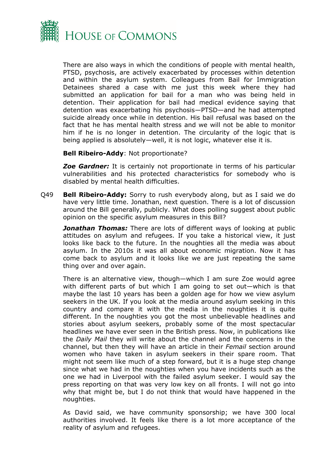

There are also ways in which the conditions of people with mental health, PTSD, psychosis, are actively exacerbated by processes within detention and within the asylum system. Colleagues from Bail for Immigration Detainees shared a case with me just this week where they had submitted an application for bail for a man who was being held in detention. Their application for bail had medical evidence saying that detention was exacerbating his psychosis—PTSD—and he had attempted suicide already once while in detention. His bail refusal was based on the fact that he has mental health stress and we will not be able to monitor him if he is no longer in detention. The circularity of the logic that is being applied is absolutely—well, it is not logic, whatever else it is.

**Bell Ribeiro-Addy**: Not proportionate?

*Zoe Gardner:* It is certainly not proportionate in terms of his particular vulnerabilities and his protected characteristics for somebody who is disabled by mental health difficulties.

Q49 **Bell Ribeiro-Addy:** Sorry to rush everybody along, but as I said we do have very little time. Jonathan, next question. There is a lot of discussion around the Bill generally, publicly. What does polling suggest about public opinion on the specific asylum measures in this Bill?

*Jonathan Thomas:* There are lots of different ways of looking at public attitudes on asylum and refugees. If you take a historical view, it just looks like back to the future. In the noughties all the media was about asylum. In the 2010s it was all about economic migration. Now it has come back to asylum and it looks like we are just repeating the same thing over and over again.

There is an alternative view, though—which I am sure Zoe would agree with different parts of but which I am going to set out—which is that maybe the last 10 years has been a golden age for how we view asylum seekers in the UK. If you look at the media around asylum seeking in this country and compare it with the media in the noughties it is quite different. In the noughties you got the most unbelievable headlines and stories about asylum seekers, probably some of the most spectacular headlines we have ever seen in the British press. Now, in publications like the *Daily Mail* they will write about the channel and the concerns in the channel, but then they will have an article in their *Femail* section around women who have taken in asylum seekers in their spare room. That might not seem like much of a step forward, but it is a huge step change since what we had in the noughties when you have incidents such as the one we had in Liverpool with the failed asylum seeker. I would say the press reporting on that was very low key on all fronts. I will not go into why that might be, but I do not think that would have happened in the noughties.

As David said, we have community sponsorship; we have 300 local authorities involved. It feels like there is a lot more acceptance of the reality of asylum and refugees.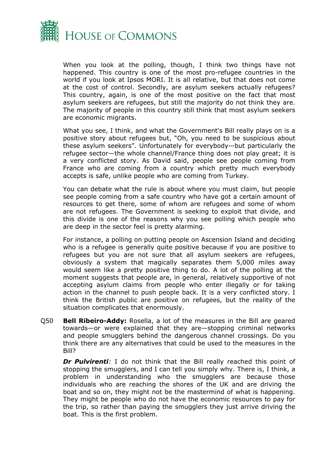

When you look at the polling, though, I think two things have not happened. This country is one of the most pro-refugee countries in the world if you look at Ipsos MORI. It is all relative, but that does not come at the cost of control. Secondly, are asylum seekers actually refugees? This country, again, is one of the most positive on the fact that most asylum seekers are refugees, but still the majority do not think they are. The majority of people in this country still think that most asylum seekers are economic migrants.

What you see, I think, and what the Government's Bill really plays on is a positive story about refugees but, "Oh, you need to be suspicious about these asylum seekers". Unfortunately for everybody—but particularly the refugee sector—the whole channel/France thing does not play great; it is a very conflicted story. As David said, people see people coming from France who are coming from a country which pretty much everybody accepts is safe, unlike people who are coming from Turkey.

You can debate what the rule is about where you must claim, but people see people coming from a safe country who have got a certain amount of resources to get there, some of whom are refugees and some of whom are not refugees. The Government is seeking to exploit that divide, and this divide is one of the reasons why you see polling which people who are deep in the sector feel is pretty alarming.

For instance, a polling on putting people on Ascension Island and deciding who is a refugee is generally quite positive because if you are positive to refugees but you are not sure that all asylum seekers are refugees, obviously a system that magically separates them 5,000 miles away would seem like a pretty positive thing to do. A lot of the polling at the moment suggests that people are, in general, relatively supportive of not accepting asylum claims from people who enter illegally or for taking action in the channel to push people back. It is a very conflicted story. I think the British public are positive on refugees, but the reality of the situation complicates that enormously.

Q50 **Bell Ribeiro-Addy:** Rosella, a lot of the measures in the Bill are geared towards—or were explained that they are—stopping criminal networks and people smugglers behind the dangerous channel crossings. Do you think there are any alternatives that could be used to the measures in the Bill?

*Dr Pulvirenti:* I do not think that the Bill really reached this point of stopping the smugglers, and I can tell you simply why. There is, I think, a problem in understanding who the smugglers are because those individuals who are reaching the shores of the UK and are driving the boat and so on, they might not be the mastermind of what is happening. They might be people who do not have the economic resources to pay for the trip, so rather than paying the smugglers they just arrive driving the boat. This is the first problem.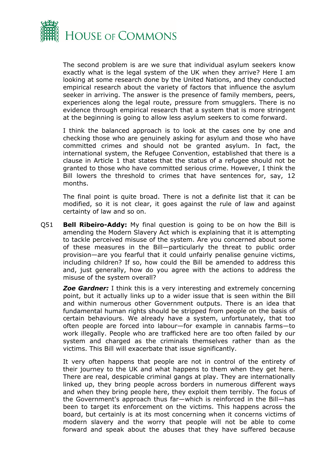

The second problem is are we sure that individual asylum seekers know exactly what is the legal system of the UK when they arrive? Here I am looking at some research done by the United Nations, and they conducted empirical research about the variety of factors that influence the asylum seeker in arriving. The answer is the presence of family members, peers, experiences along the legal route, pressure from smugglers. There is no evidence through empirical research that a system that is more stringent at the beginning is going to allow less asylum seekers to come forward.

I think the balanced approach is to look at the cases one by one and checking those who are genuinely asking for asylum and those who have committed crimes and should not be granted asylum. In fact, the international system, the Refugee Convention, established that there is a clause in Article 1 that states that the status of a refugee should not be granted to those who have committed serious crime. However, I think the Bill lowers the threshold to crimes that have sentences for, say, 12 months.

The final point is quite broad. There is not a definite list that it can be modified, so it is not clear, it goes against the rule of law and against certainty of law and so on.

Q51 **Bell Ribeiro-Addy:** My final question is going to be on how the Bill is amending the Modern Slavery Act which is explaining that it is attempting to tackle perceived misuse of the system. Are you concerned about some of these measures in the Bill—particularly the threat to public order provision—are you fearful that it could unfairly penalise genuine victims, including children? If so, how could the Bill be amended to address this and, just generally, how do you agree with the actions to address the misuse of the system overall?

*Zoe Gardner:* I think this is a very interesting and extremely concerning point, but it actually links up to a wider issue that is seen within the Bill and within numerous other Government outputs. There is an idea that fundamental human rights should be stripped from people on the basis of certain behaviours. We already have a system, unfortunately, that too often people are forced into labour—for example in cannabis farms—to work illegally. People who are trafficked here are too often failed by our system and charged as the criminals themselves rather than as the victims. This Bill will exacerbate that issue significantly.

It very often happens that people are not in control of the entirety of their journey to the UK and what happens to them when they get here. There are real, despicable criminal gangs at play. They are internationally linked up, they bring people across borders in numerous different ways and when they bring people here, they exploit them terribly. The focus of the Government's approach thus far—which is reinforced in the Bill—has been to target its enforcement on the victims. This happens across the board, but certainly is at its most concerning when it concerns victims of modern slavery and the worry that people will not be able to come forward and speak about the abuses that they have suffered because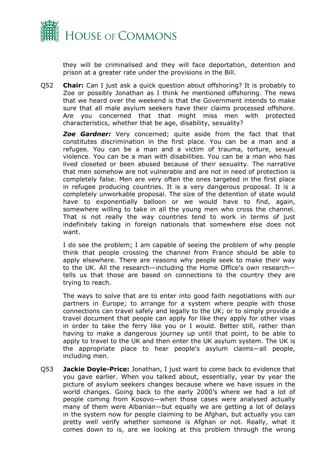

they will be criminalised and they will face deportation, detention and prison at a greater rate under the provisions in the Bill.

Q52 **Chair:** Can I just ask a quick question about offshoring? It is probably to Zoe or possibly Jonathan as I think he mentioned offshoring. The news that we heard over the weekend is that the Government intends to make sure that all male asylum seekers have their claims processed offshore. Are you concerned that that might miss men with protected characteristics, whether that be age, disability, sexuality?

*Zoe Gardner:* Very concerned; quite aside from the fact that that constitutes discrimination in the first place. You can be a man and a refugee. You can be a man and a victim of trauma, torture, sexual violence. You can be a man with disabilities. You can be a man who has lived closeted or been abused because of their sexuality. The narrative that men somehow are not vulnerable and are not in need of protection is completely false. Men are very often the ones targeted in the first place in refugee producing countries. It is a very dangerous proposal. It is a completely unworkable proposal. The size of the detention of state would have to exponentially balloon or we would have to find, again, somewhere willing to take in all the young men who cross the channel. That is not really the way countries tend to work in terms of just indefinitely taking in foreign nationals that somewhere else does not want.

I do see the problem; I am capable of seeing the problem of why people think that people crossing the channel from France should be able to apply elsewhere. There are reasons why people seek to make their way to the UK. All the research—including the Home Office's own research tells us that those are based on connections to the country they are trying to reach.

The ways to solve that are to enter into good faith negotiations with our partners in Europe; to arrange for a system where people with those connections can travel safely and legally to the UK; or to simply provide a travel document that people can apply for like they apply for other visas in order to take the ferry like you or I would. Better still, rather than having to make a dangerous journey up until that point, to be able to apply to travel to the UK and then enter the UK asylum system. The UK is the appropriate place to hear people's asylum claims—all people, including men.

Q53 **Jackie Doyle-Price:** Jonathan, I just want to come back to evidence that you gave earlier. When you talked about, essentially, year by year the picture of asylum seekers changes because where we have issues in the world changes. Going back to the early 2000's where we had a lot of people coming from Kosovo—when those cases were analysed actually many of them were Albanian—but equally we are getting a lot of delays in the system now for people claiming to be Afghan, but actually you can pretty well verify whether someone is Afghan or not. Really, what it comes down to is, are we looking at this problem through the wrong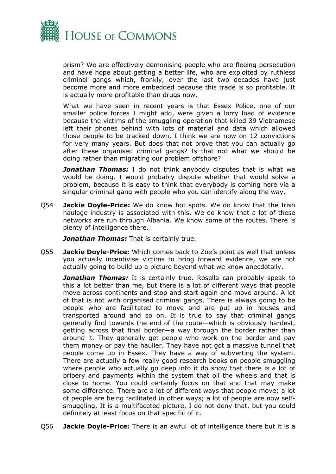

prism? We are effectively demonising people who are fleeing persecution and have hope about getting a better life, who are exploited by ruthless criminal gangs which, frankly, over the last two decades have just become more and more embedded because this trade is so profitable. It is actually more profitable than drugs now.

What we have seen in recent years is that Essex Police, one of our smaller police forces I might add, were given a lorry load of evidence because the victims of the smuggling operation that killed 39 Vietnamese left their phones behind with lots of material and data which allowed those people to be tracked down. I think we are now on 12 convictions for very many years. But does that not prove that you can actually go after these organised criminal gangs? Is that not what we should be doing rather than migrating our problem offshore?

*Jonathan Thomas:* I do not think anybody disputes that is what we would be doing. I would probably dispute whether that would solve a problem, because it is easy to think that everybody is coming here via a singular criminal gang with people who you can identify along the way.

Q54 **Jackie Doyle-Price:** We do know hot spots. We do know that the Irish haulage industry is associated with this. We do know that a lot of these networks are run through Albania. We know some of the routes. There is plenty of intelligence there.

*Jonathan Thomas:* That is certainly true.

Q55 **Jackie Doyle-Price:** Which comes back to Zoe's point as well that unless you actually incentivise victims to bring forward evidence, we are not actually going to build up a picture beyond what we know anecdotally.

*Jonathan Thomas:* It is certainly true. Rosella can probably speak to this a lot better than me, but there is a lot of different ways that people move across continents and stop and start again and move around. A lot of that is not with organised criminal gangs. There is always going to be people who are facilitated to move and are put up in houses and transported around and so on. It is true to say that criminal gangs generally find towards the end of the route—which is obviously hardest, getting across that final border—a way through the border rather than around it. They generally get people who work on the border and pay them money or pay the haulier. They have not got a massive tunnel that people come up in Essex. They have a way of subverting the system. There are actually a few really good research books on people smuggling where people who actually go deep into it do show that there is a lot of bribery and payments within the system that oil the wheels and that is close to home. You could certainly focus on that and that may make some difference. There are a lot of different ways that people move; a lot of people are being facilitated in other ways; a lot of people are now selfsmuggling. It is a multifaceted picture, I do not deny that, but you could definitely at least focus on that specific of it.

Q56 **Jackie Doyle-Price:** There is an awful lot of intelligence there but it is a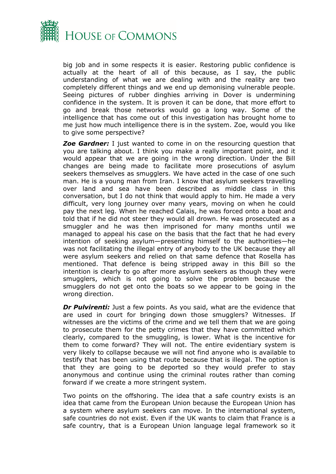

big job and in some respects it is easier. Restoring public confidence is actually at the heart of all of this because, as I say, the public understanding of what we are dealing with and the reality are two completely different things and we end up demonising vulnerable people. Seeing pictures of rubber dinghies arriving in Dover is undermining confidence in the system. It is proven it can be done, that more effort to go and break those networks would go a long way. Some of the intelligence that has come out of this investigation has brought home to me just how much intelligence there is in the system. Zoe, would you like to give some perspective?

**Zoe Gardner:** I just wanted to come in on the resourcing question that you are talking about. I think you make a really important point, and it would appear that we are going in the wrong direction. Under the Bill changes are being made to facilitate more prosecutions of asylum seekers themselves as smugglers. We have acted in the case of one such man. He is a young man from Iran. I know that asylum seekers travelling over land and sea have been described as middle class in this conversation, but I do not think that would apply to him. He made a very difficult, very long journey over many years, moving on when he could pay the next leg. When he reached Calais, he was forced onto a boat and told that if he did not steer they would all drown. He was prosecuted as a smuggler and he was then imprisoned for many months until we managed to appeal his case on the basis that the fact that he had every intention of seeking asylum—presenting himself to the authorities—he was not facilitating the illegal entry of anybody to the UK because they all were asylum seekers and relied on that same defence that Rosella has mentioned. That defence is being stripped away in this Bill so the intention is clearly to go after more asylum seekers as though they were smugglers, which is not going to solve the problem because the smugglers do not get onto the boats so we appear to be going in the wrong direction.

*Dr Pulvirenti:* Just a few points. As you said, what are the evidence that are used in court for bringing down those smugglers? Witnesses. If witnesses are the victims of the crime and we tell them that we are going to prosecute them for the petty crimes that they have committed which clearly, compared to the smuggling, is lower. What is the incentive for them to come forward? They will not. The entire evidentiary system is very likely to collapse because we will not find anyone who is available to testify that has been using that route because that is illegal. The option is that they are going to be deported so they would prefer to stay anonymous and continue using the criminal routes rather than coming forward if we create a more stringent system.

Two points on the offshoring. The idea that a safe country exists is an idea that came from the European Union because the European Union has a system where asylum seekers can move. In the international system, safe countries do not exist. Even if the UK wants to claim that France is a safe country, that is a European Union language legal framework so it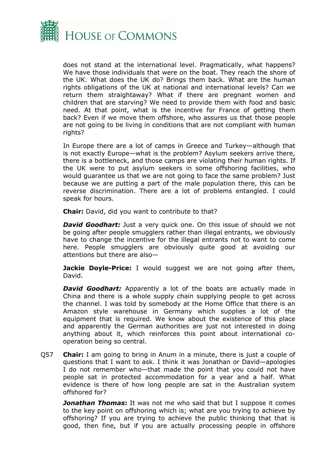

does not stand at the international level. Pragmatically, what happens? We have those individuals that were on the boat. They reach the shore of the UK. What does the UK do? Brings them back. What are the human rights obligations of the UK at national and international levels? Can we return them straightaway? What if there are pregnant women and children that are starving? We need to provide them with food and basic need. At that point, what is the incentive for France of getting them back? Even if we move them offshore, who assures us that those people are not going to be living in conditions that are not compliant with human rights?

In Europe there are a lot of camps in Greece and Turkey—although that is not exactly Europe—what is the problem? Asylum seekers arrive there, there is a bottleneck, and those camps are violating their human rights. If the UK were to put asylum seekers in some offshoring facilities, who would guarantee us that we are not going to face the same problem? Just because we are putting a part of the male population there, this can be reverse discrimination. There are a lot of problems entangled. I could speak for hours.

**Chair:** David, did you want to contribute to that?

*David Goodhart:* Just a very quick one. On this issue of should we not be going after people smugglers rather than illegal entrants, we obviously have to change the incentive for the illegal entrants not to want to come here. People smugglers are obviously quite good at avoiding our attentions but there are also—

**Jackie Doyle-Price:** I would suggest we are not going after them, David.

*David Goodhart:* Apparently a lot of the boats are actually made in China and there is a whole supply chain supplying people to get across the channel. I was told by somebody at the Home Office that there is an Amazon style warehouse in Germany which supplies a lot of the equipment that is required. We know about the existence of this place and apparently the German authorities are just not interested in doing anything about it, which reinforces this point about international cooperation being so central.

Q57 **Chair:** I am going to bring in Anum in a minute, there is just a couple of questions that I want to ask. I think it was Jonathan or David—apologies I do not remember who—that made the point that you could not have people sat in protected accommodation for a year and a half. What evidence is there of how long people are sat in the Australian system offshored for?

*Jonathan Thomas***:** It was not me who said that but I suppose it comes to the key point on offshoring which is; what are you trying to achieve by offshoring? If you are trying to achieve the public thinking that that is good, then fine, but if you are actually processing people in offshore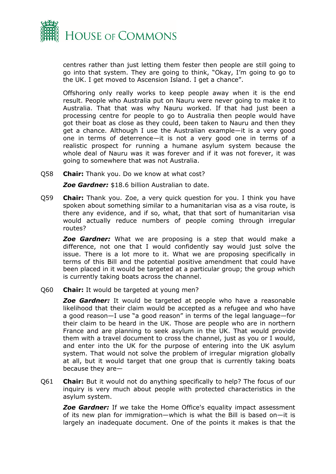

centres rather than just letting them fester then people are still going to go into that system. They are going to think, "Okay, I'm going to go to the UK. I get moved to Ascension Island. I get a chance".

Offshoring only really works to keep people away when it is the end result. People who Australia put on Nauru were never going to make it to Australia. That that was why Nauru worked. If that had just been a processing centre for people to go to Australia then people would have got their boat as close as they could, been taken to Nauru and then they get a chance. Although I use the Australian example—it is a very good one in terms of deterrence—it is not a very good one in terms of a realistic prospect for running a humane asylum system because the whole deal of Nauru was it was forever and if it was not forever, it was going to somewhere that was not Australia.

Q58 **Chair:** Thank you. Do we know at what cost?

*Zoe Gardner:* \$18.6 billion Australian to date.

Q59 **Chair:** Thank you. Zoe, a very quick question for you. I think you have spoken about something similar to a humanitarian visa as a visa route, is there any evidence, and if so, what, that that sort of humanitarian visa would actually reduce numbers of people coming through irregular routes?

*Zoe Gardner:* What we are proposing is a step that would make a difference, not one that I would confidently say would just solve the issue. There is a lot more to it. What we are proposing specifically in terms of this Bill and the potential positive amendment that could have been placed in it would be targeted at a particular group; the group which is currently taking boats across the channel.

Q60 **Chair:** It would be targeted at young men?

*Zoe Gardner:* It would be targeted at people who have a reasonable likelihood that their claim would be accepted as a refugee and who have a good reason—I use "a good reason" in terms of the legal language—for their claim to be heard in the UK. Those are people who are in northern France and are planning to seek asylum in the UK. That would provide them with a travel document to cross the channel, just as you or I would, and enter into the UK for the purpose of entering into the UK asylum system. That would not solve the problem of irregular migration globally at all, but it would target that one group that is currently taking boats because they are—

Q61 **Chair:** But it would not do anything specifically to help? The focus of our inquiry is very much about people with protected characteristics in the asylum system.

*Zoe Gardner:* If we take the Home Office's equality impact assessment of its new plan for immigration—which is what the Bill is based on—it is largely an inadequate document. One of the points it makes is that the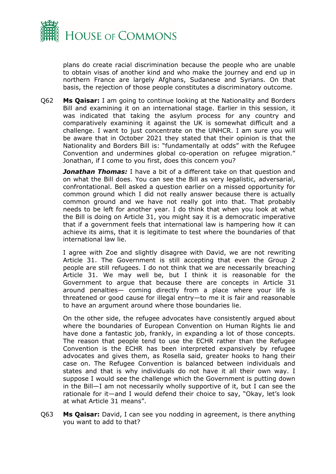

plans do create racial discrimination because the people who are unable to obtain visas of another kind and who make the journey and end up in northern France are largely Afghans, Sudanese and Syrians. On that basis, the rejection of those people constitutes a discriminatory outcome.

Q62 **Ms Qaisar:** I am going to continue looking at the Nationality and Borders Bill and examining it on an international stage. Earlier in this session, it was indicated that taking the asylum process for any country and comparatively examining it against the UK is somewhat difficult and a challenge. I want to just concentrate on the UNHCR. I am sure you will be aware that in October 2021 they stated that their opinion is that the Nationality and Borders Bill is: "fundamentally at odds" with the Refugee Convention and undermines global co-operation on refugee migration." Jonathan, if I come to you first, does this concern you?

*Jonathan Thomas:* I have a bit of a different take on that question and on what the Bill does. You can see the Bill as very legalistic, adversarial, confrontational. Bell asked a question earlier on a missed opportunity for common ground which I did not really answer because there is actually common ground and we have not really got into that. That probably needs to be left for another year. I do think that when you look at what the Bill is doing on Article 31, you might say it is a democratic imperative that if a government feels that international law is hampering how it can achieve its aims, that it is legitimate to test where the boundaries of that international law lie.

I agree with Zoe and slightly disagree with David, we are not rewriting Article 31. The Government is still accepting that even the Group 2 people are still refugees. I do not think that we are necessarily breaching Article 31. We may well be, but I think it is reasonable for the Government to argue that because there are concepts in Article 31 around penalties— coming directly from a place where your life is threatened or good cause for illegal entry—to me it is fair and reasonable to have an argument around where those boundaries lie.

On the other side, the refugee advocates have consistently argued about where the boundaries of European Convention on Human Rights lie and have done a fantastic job, frankly, in expanding a lot of those concepts. The reason that people tend to use the ECHR rather than the Refugee Convention is the ECHR has been interpreted expansively by refugee advocates and gives them, as Rosella said, greater hooks to hang their case on. The Refugee Convention is balanced between individuals and states and that is why individuals do not have it all their own way. I suppose I would see the challenge which the Government is putting down in the Bill—I am not necessarily wholly supportive of it, but I can see the rationale for it—and I would defend their choice to say, "Okay, let's look at what Article 31 means".

Q63 **Ms Qaisar:** David, I can see you nodding in agreement, is there anything you want to add to that?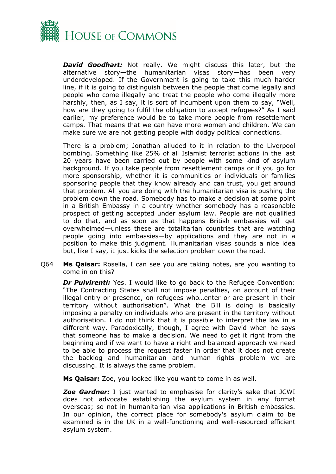

*David Goodhart:* Not really. We might discuss this later, but the alternative story—the humanitarian visas story—has been very underdeveloped. If the Government is going to take this much harder line, if it is going to distinguish between the people that come legally and people who come illegally and treat the people who come illegally more harshly, then, as I say, it is sort of incumbent upon them to say, "Well, how are they going to fulfil the obligation to accept refugees?" As I said earlier, my preference would be to take more people from resettlement camps. That means that we can have more women and children. We can make sure we are not getting people with dodgy political connections.

There is a problem; Jonathan alluded to it in relation to the Liverpool bombing. Something like 25% of all Islamist terrorist actions in the last 20 years have been carried out by people with some kind of asylum background. If you take people from resettlement camps or if you go for more sponsorship, whether it is communities or individuals or families sponsoring people that they know already and can trust, you get around that problem. All you are doing with the humanitarian visa is pushing the problem down the road. Somebody has to make a decision at some point in a British Embassy in a country whether somebody has a reasonable prospect of getting accepted under asylum law. People are not qualified to do that, and as soon as that happens British embassies will get overwhelmed—unless these are totalitarian countries that are watching people going into embassies—by applications and they are not in a position to make this judgment. Humanitarian visas sounds a nice idea but, like I say, it just kicks the selection problem down the road.

Q64 **Ms Qaisar:** Rosella, I can see you are taking notes, are you wanting to come in on this?

*Dr Pulvirenti:* Yes. I would like to go back to the Refugee Convention: "The Contracting States shall not impose penalties, on account of their illegal entry or presence, on refugees who…enter or are present in their territory without authorisation". What the Bill is doing is basically imposing a penalty on individuals who are present in the territory without authorisation. I do not think that it is possible to interpret the law in a different way. Paradoxically, though, I agree with David when he says that someone has to make a decision. We need to get it right from the beginning and if we want to have a right and balanced approach we need to be able to process the request faster in order that it does not create the backlog and humanitarian and human rights problem we are discussing. It is always the same problem.

**Ms Qaisar:** Zoe, you looked like you want to come in as well.

*Zoe Gardner:* I just wanted to emphasise for clarity's sake that JCWI does not advocate establishing the asylum system in any format overseas; so not in humanitarian visa applications in British embassies. In our opinion, the correct place for somebody's asylum claim to be examined is in the UK in a well-functioning and well-resourced efficient asylum system.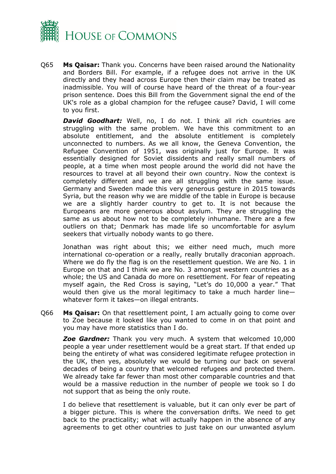

Q65 **Ms Qaisar:** Thank you. Concerns have been raised around the Nationality and Borders Bill. For example, if a refugee does not arrive in the UK directly and they head across Europe then their claim may be treated as inadmissible. You will of course have heard of the threat of a four-year prison sentence. Does this Bill from the Government signal the end of the UK's role as a global champion for the refugee cause? David, I will come to you first.

*David Goodhart:* Well, no, I do not. I think all rich countries are struggling with the same problem. We have this commitment to an absolute entitlement, and the absolute entitlement is completely unconnected to numbers. As we all know, the Geneva Convention, the Refugee Convention of 1951, was originally just for Europe. It was essentially designed for Soviet dissidents and really small numbers of people, at a time when most people around the world did not have the resources to travel at all beyond their own country. Now the context is completely different and we are all struggling with the same issue. Germany and Sweden made this very generous gesture in 2015 towards Syria, but the reason why we are middle of the table in Europe is because we are a slightly harder country to get to. It is not because the Europeans are more generous about asylum. They are struggling the same as us about how not to be completely inhumane. There are a few outliers on that; Denmark has made life so uncomfortable for asylum seekers that virtually nobody wants to go there.

Jonathan was right about this; we either need much, much more international co-operation or a really, really brutally draconian approach. Where we do fly the flag is on the resettlement question. We are No. 1 in Europe on that and I think we are No. 3 amongst western countries as a whole; the US and Canada do more on resettlement. For fear of repeating myself again, the Red Cross is saying, "Let's do 10,000 a year." That would then give us the moral legitimacy to take a much harder line whatever form it takes—on illegal entrants.

Q66 **Ms Qaisar:** On that resettlement point, I am actually going to come over to Zoe because it looked like you wanted to come in on that point and you may have more statistics than I do.

*Zoe Gardner:* Thank you very much. A system that welcomed 10,000 people a year under resettlement would be a great start. If that ended up being the entirety of what was considered legitimate refugee protection in the UK, then yes, absolutely we would be turning our back on several decades of being a country that welcomed refugees and protected them. We already take far fewer than most other comparable countries and that would be a massive reduction in the number of people we took so I do not support that as being the only route.

I do believe that resettlement is valuable, but it can only ever be part of a bigger picture. This is where the conversation drifts. We need to get back to the practicality; what will actually happen in the absence of any agreements to get other countries to just take on our unwanted asylum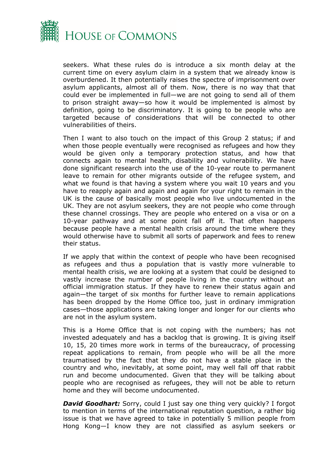

seekers. What these rules do is introduce a six month delay at the current time on every asylum claim in a system that we already know is overburdened. It then potentially raises the spectre of imprisonment over asylum applicants, almost all of them. Now, there is no way that that could ever be implemented in full—we are not going to send all of them to prison straight away—so how it would be implemented is almost by definition, going to be discriminatory. It is going to be people who are targeted because of considerations that will be connected to other vulnerabilities of theirs.

Then I want to also touch on the impact of this Group 2 status; if and when those people eventually were recognised as refugees and how they would be given only a temporary protection status, and how that connects again to mental health, disability and vulnerability. We have done significant research into the use of the 10-year route to permanent leave to remain for other migrants outside of the refugee system, and what we found is that having a system where you wait 10 years and you have to reapply again and again and again for your right to remain in the UK is the cause of basically most people who live undocumented in the UK. They are not asylum seekers, they are not people who come through these channel crossings. They are people who entered on a visa or on a 10-year pathway and at some point fall off it. That often happens because people have a mental health crisis around the time where they would otherwise have to submit all sorts of paperwork and fees to renew their status.

If we apply that within the context of people who have been recognised as refugees and thus a population that is vastly more vulnerable to mental health crisis, we are looking at a system that could be designed to vastly increase the number of people living in the country without an official immigration status. If they have to renew their status again and again—the target of six months for further leave to remain applications has been dropped by the Home Office too, just in ordinary immigration cases—those applications are taking longer and longer for our clients who are not in the asylum system.

This is a Home Office that is not coping with the numbers; has not invested adequately and has a backlog that is growing. It is giving itself 10, 15, 20 times more work in terms of the bureaucracy, of processing repeat applications to remain, from people who will be all the more traumatised by the fact that they do not have a stable place in the country and who, inevitably, at some point, may well fall off that rabbit run and become undocumented. Given that they will be talking about people who are recognised as refugees, they will not be able to return home and they will become undocumented.

*David Goodhart: Sorry, could I just say one thing very quickly? I forgot* to mention in terms of the international reputation question, a rather big issue is that we have agreed to take in potentially 5 million people from Hong Kong—I know they are not classified as asylum seekers or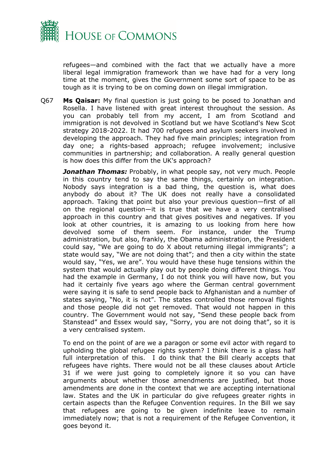

refugees—and combined with the fact that we actually have a more liberal legal immigration framework than we have had for a very long time at the moment, gives the Government some sort of space to be as tough as it is trying to be on coming down on illegal immigration.

Q67 **Ms Qaisar:** My final question is just going to be posed to Jonathan and Rosella. I have listened with great interest throughout the session. As you can probably tell from my accent, I am from Scotland and immigration is not devolved in Scotland but we have Scotland's New Scot strategy 2018-2022. It had 700 refugees and asylum seekers involved in developing the approach. They had five main principles; integration from day one; a rights-based approach; refugee involvement; inclusive communities in partnership; and collaboration. A really general question is how does this differ from the UK's approach?

*Jonathan Thomas:* Probably, in what people say, not very much. People in this country tend to say the same things, certainly on integration. Nobody says integration is a bad thing, the question is, what does anybody do about it? The UK does not really have a consolidated approach. Taking that point but also your previous question—first of all on the regional question—it is true that we have a very centralised approach in this country and that gives positives and negatives. If you look at other countries, it is amazing to us looking from here how devolved some of them seem. For instance, under the Trump administration, but also, frankly, the Obama administration, the President could say, "We are going to do X about returning illegal immigrants"; a state would say, "We are not doing that"; and then a city within the state would say, "Yes, we are". You would have these huge tensions within the system that would actually play out by people doing different things. You had the example in Germany, I do not think you will have now, but you had it certainly five years ago where the German central government were saying it is safe to send people back to Afghanistan and a number of states saying, "No, it is not". The states controlled those removal flights and those people did not get removed. That would not happen in this country. The Government would not say, "Send these people back from Stanstead" and Essex would say, "Sorry, you are not doing that", so it is a very centralised system.

To end on the point of are we a paragon or some evil actor with regard to upholding the global refugee rights system? I think there is a glass half full interpretation of this. I do think that the Bill clearly accepts that refugees have rights. There would not be all these clauses about Article 31 if we were just going to completely ignore it so you can have arguments about whether those amendments are justified, but those amendments are done in the context that we are accepting international law. States and the UK in particular do give refugees greater rights in certain aspects than the Refugee Convention requires. In the Bill we say that refugees are going to be given indefinite leave to remain immediately now; that is not a requirement of the Refugee Convention, it goes beyond it.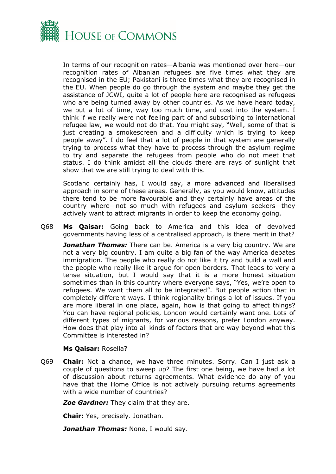

In terms of our recognition rates—Albania was mentioned over here—our recognition rates of Albanian refugees are five times what they are recognised in the EU; Pakistani is three times what they are recognised in the EU. When people do go through the system and maybe they get the assistance of JCWI, quite a lot of people here are recognised as refugees who are being turned away by other countries. As we have heard today, we put a lot of time, way too much time, and cost into the system. I think if we really were not feeling part of and subscribing to international refugee law, we would not do that. You might say, "Well, some of that is just creating a smokescreen and a difficulty which is trying to keep people away". I do feel that a lot of people in that system are generally trying to process what they have to process through the asylum regime to try and separate the refugees from people who do not meet that status. I do think amidst all the clouds there are rays of sunlight that show that we are still trying to deal with this.

Scotland certainly has, I would say, a more advanced and liberalised approach in some of these areas. Generally, as you would know, attitudes there tend to be more favourable and they certainly have areas of the country where—not so much with refugees and asylum seekers—they actively want to attract migrants in order to keep the economy going.

Q68 **Ms Qaisar:** Going back to America and this idea of devolved governments having less of a centralised approach, is there merit in that?

**Jonathan Thomas:** There can be. America is a very big country. We are not a very big country. I am quite a big fan of the way America debates immigration. The people who really do not like it try and build a wall and the people who really like it argue for open borders. That leads to very a tense situation, but I would say that it is a more honest situation sometimes than in this country where everyone says, "Yes, we're open to refugees. We want them all to be integrated". But people action that in completely different ways. I think regionality brings a lot of issues. If you are more liberal in one place, again, how is that going to affect things? You can have regional policies, London would certainly want one. Lots of different types of migrants, for various reasons, prefer London anyway. How does that play into all kinds of factors that are way beyond what this Committee is interested in?

### **Ms Qaisar:** Rosella?

Q69 **Chair:** Not a chance, we have three minutes. Sorry. Can I just ask a couple of questions to sweep up? The first one being, we have had a lot of discussion about returns agreements. What evidence do any of you have that the Home Office is not actively pursuing returns agreements with a wide number of countries?

*Zoe Gardner:* They claim that they are.

**Chair:** Yes, precisely. Jonathan.

*Jonathan Thomas:* None, I would say.